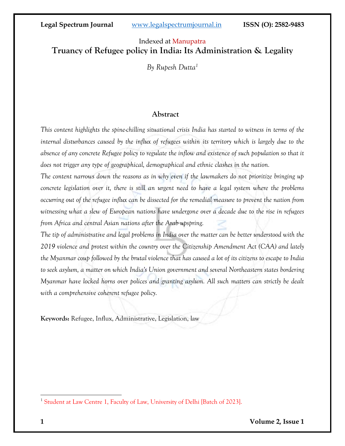# Indexed at Manupatra **Truancy of Refugee policy in India: Its Administration & Legality**

*By Rupesh Dutta<sup>1</sup>*

## **Abstract**

*This content highlights the spine-chilling situational crisis India has started to witness in terms of the internal disturbances caused by the influx of refugees within its territory which is largely due to the absence of any concrete Refugee policy to regulate the inflow and existence of such population so that it does not trigger any type of geographical, demographical and ethnic clashes in the nation.* 

*The content narrows down the reasons as in why even if the lawmakers do not prioritize bringing up concrete legislation over it, there is still an urgent need to have a legal system where the problems occurring out of the refugee influx can be dissected for the remedial measure to prevent the nation from witnessing what a slew of European nations have undergone over a decade due to the rise in refugees from Africa and central Asian nations after the Arab upspring.* 

*The tip of administrative and legal problems in India over the matter can be better understood with the 2019 violence and protest within the country over the Citizenship Amendment Act (CAA) and lately the Myanmar coup followed by the brutal violence that has caused a lot of its citizens to escape to India to seek asylum, a matter on which India's Union government and several Northeastern states bordering Myanmar have locked horns over polices and granting asylum. All such matters can strictly be dealt with a comprehensive coherent refugee policy.*

**Keywords:** Refugee, Influx, Administrative, Legislation, law

<sup>&</sup>lt;sup>1</sup> Student at Law Centre 1, Faculty of Law, University of Delhi [Batch of 2023].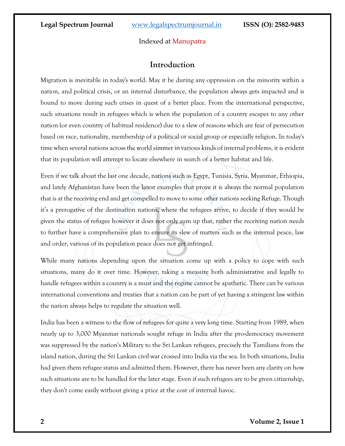### Indexed at Manupatra

## **Introduction**

Migration is inevitable in today's world. May it be during any oppression on the minority within a nation, and political crisis, or an internal disturbance, the population always gets impacted and is bound to move during such crises in quest of a better place. From the international perspective, such situations result in refugees which is when the population of a country escapes to any other nation (or even country of habitual residence) due to a slew of reasons which are fear of persecution based on race, nationality, membership of a political or social group or especially religion. In today's time when several nations across the world simmer in various kinds of internal problems, it is evident that its population will attempt to locate elsewhere in search of a better habitat and life.

Even if we talk about the last one decade, nations such as Egypt, Tunisia, Syria, Myanmar, Ethiopia, and lately Afghanistan have been the latest examples that prove it is always the normal population that is at the receiving end and get compelled to move to some other nations seeking Refuge. Though it's a prerogative of the destination nations, where the refugees arrive, to decide if they would be given the status of refugee however it does not only sum up that, rather the receiving nation needs to further have a comprehensive plan to ensure its slew of matters such as the internal peace, law and order, various of its population peace does not get infringed.

While many nations depending upon the situation come up with a policy to cope with such situations, many do it over time. However, taking a measure both administrative and legally to handle refugees within a country is a must and the regime cannot be apathetic. There can be various international conventions and treaties that a nation can be part of yet having a stringent law within the nation always helps to regulate the situation well.

India has been a witness to the flow of refugees for quite a very long time. Starting from 1989, when nearly up to 3,000 Myanmar nationals sought refuge in India after the pro-democracy movement was suppressed by the nation's Military to the Sri Lankan refugees, precisely the Tamilians from the island nation, during the Sri Lankan civil war crossed into India via the sea. In both situations, India had given them refugee status and admitted them. However, there has never been any clarity on how such situations are to be handled for the later stage. Even if such refugees are to be given citizenship, they don't come easily without giving a price at the cost of internal havoc.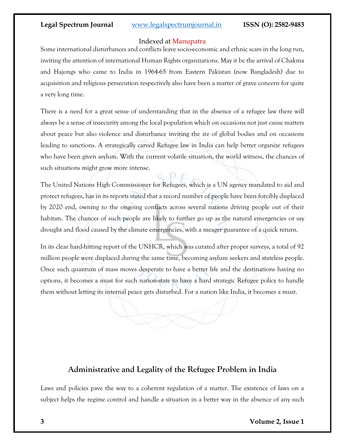## Indexed at Manupatra

Some international disturbances and conflicts leave socio-economic and ethnic scars in the long run, inviting the attention of international Human Rights organizations. May it be the arrival of Chakma and Hajongs who came to India in 1964-65 from Eastern Pakistan (now Bangladesh) due to acquisition and religious persecution respectively also have been a matter of grave concern for quite a very long time.

There is a need for a great sense of understanding that in the absence of a refugee law there will always be a sense of insecurity among the local population which on occasions not just cause matters about peace but also violence and disturbance inviting the ire of global bodies and on occasions leading to sanctions. A strategically carved Refugee law in India can help better organize refugees who have been given asylum. With the current volatile situation, the world witness, the chances of such situations might grow more intense.

The United Nations High Commissioner for Refugees, which is a UN agency mandated to aid and protect refugees, has in its reports stated that a record number of people have been forcibly displaced by 2020 end, owning to the ongoing conflicts across several nations driving people out of their habitats. The chances of such people are likely to further go up as the natural emergencies or say drought and flood caused by the climate emergencies, with a meager guarantee of a quick return.

In its clear hard-hitting report of the UNHCR, which was curated after proper surveys, a total of 92 million people were displaced during the same time, becoming asylum seekers and stateless people. Once such quantum of mass moves desperate to have a better life and the destinations having no options, it becomes a must for such nation-state to have a hard strategic Refugee policy to handle them without letting its internal peace gets disturbed. For a nation like India, it becomes a must.

# **Administrative and Legality of the Refugee Problem in India**

Laws and policies pave the way to a coherent regulation of a matter. The existence of laws on a subject helps the regime control and handle a situation in a better way in the absence of any such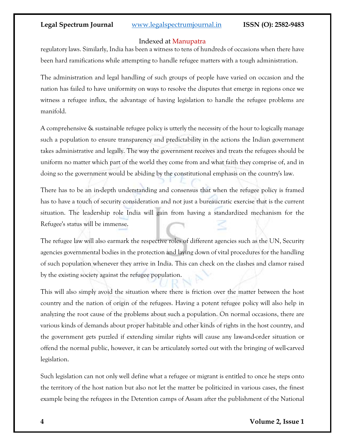### Indexed at Manupatra

regulatory laws. Similarly, India has been a witness to tens of hundreds of occasions when there have been hard ramifications while attempting to handle refugee matters with a tough administration.

The administration and legal handling of such groups of people have varied on occasion and the nation has failed to have uniformity on ways to resolve the disputes that emerge in regions once we witness a refugee influx, the advantage of having legislation to handle the refugee problems are manifold.

A comprehensive & sustainable refugee policy is utterly the necessity of the hour to logically manage such a population to ensure transparency and predictability in the actions the Indian government takes administrative and legally. The way the government receives and treats the refugees should be uniform no matter which part of the world they come from and what faith they comprise of, and in doing so the government would be abiding by the constitutional emphasis on the country's law.

There has to be an in-depth understanding and consensus that when the refugee policy is framed has to have a touch of security consideration and not just a bureaucratic exercise that is the current situation. The leadership role India will gain from having a standardized mechanism for the Refugee's status will be immense.

The refugee law will also earmark the respective roles of different agencies such as the UN, Security agencies governmental bodies in the protection and laying down of vital procedures for the handling of such population whenever they arrive in India. This can check on the clashes and clamor raised by the existing society against the refugee population.

This will also simply avoid the situation where there is friction over the matter between the host country and the nation of origin of the refugees. Having a potent refugee policy will also help in analyzing the root cause of the problems about such a population. On normal occasions, there are various kinds of demands about proper habitable and other kinds of rights in the host country, and the government gets puzzled if extending similar rights will cause any law-and-order situation or offend the normal public, however, it can be articulately sorted out with the bringing of well-carved legislation.

Such legislation can not only well define what a refugee or migrant is entitled to once he steps onto the territory of the host nation but also not let the matter be politicized in various cases, the finest example being the refugees in the Detention camps of Assam after the publishment of the National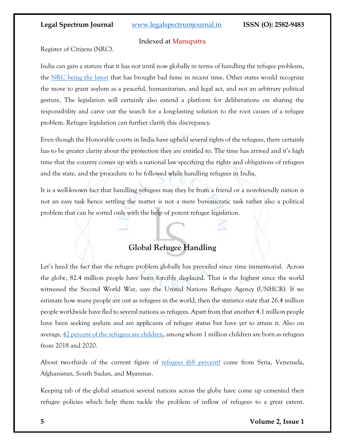### Indexed at Manupatra

Register of Citizens (NRC).

India can gain a stature that it has not until now globally in terms of handling the refugee problems, the [NRC being the latest](https://indianexpress.com/article/opinion/columns/refugee-law-india-immigrants-7554395/) that has brought bad fame in recent time. Other states would recognize the move to grant asylum as a peaceful, humanitarian, and legal act, and not an arbitrary political gesture. The legislation will certainly also extend a platform for deliberations on sharing the responsibility and carve out the search for a long-lasting solution to the root causes of a refugee problem. Refugee legislation can further clarify this discrepancy.

Even though the Honorable courts in India have upheld several rights of the refugees, there certainly has to be greater clarity about the protection they are entitled to. The time has arrived and it's high time that the country comes up with a national law specifying the rights and obligations of refugees and the state, and the procedure to be followed while handling refugees in India.

It is a well-known fact that handling refugees may they be from a friend or a non-friendly nation is not an easy task hence settling the matter is not a mere bureaucratic task rather also a political problem that can be sorted only with the help of potent refugee legislation.

# **Global Refugee Handling**

Let's heed the fact that the refugee problem globally has prevailed since time immemorial. Across the globe, 82.4 million people have been forcibly displaced. That is the highest since the world witnessed the Second World War, says the United Nations Refugee Agency (UNHCR). If we estimate how many people are out as refugees in the world, then the statistics state that 26.4 million people worldwide have fled to several nations as refugees. Apart from that another 4.1 million people have been seeking asylum and are applicants of refugee status but have yet to attain it. Also on average, [42 percent of the refugees are children,](https://www.migrationpolicy.org/article/gaps-india-refugees-vulnerable-internal-migrants-pandemic) among whom 1 million children are born as refugees from 2018 and 2020.

About two-thirds of the current figure of [refugees \(68 percent\)](https://www.worldvision.org/refugees-news-stories/forced-to-flee-top-countries-refugees-coming-from) come from Syria, Venezuela, Afghanistan, South Sudan, and Myanmar.

Keeping tab of the global situation several nations across the globe have come up cemented their refugee policies which help them tackle the problem of inflow of refugees to a great extent.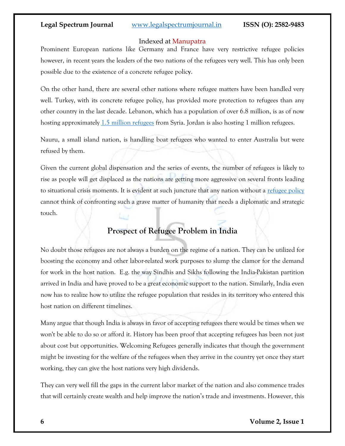### Indexed at Manupatra

Prominent European nations like Germany and France have very restrictive refugee policies however, in recent years the leaders of the two nations of the refugees very well. This has only been possible due to the existence of a concrete refugee polic**y**.

On the other hand, there are several other nations where refugee matters have been handled very well. Turkey, with its concrete refugee policy, has provided more protection to refugees than any other country in the last decade. Lebanon, which has a population of over 6.8 million, is as of now hosting approximately [1.5 million refugees](https://www.unhcr.org/4cd96e919.pdf) from Syria. Jordan is also hosting 1 million refugees.

Nauru, a small island nation, is handling boat refugees who wanted to enter Australia but were refused by them.

Given the current global dispensation and the series of events, the number of refugees is likely to rise as people will get displaced as the nations are getting more aggressive on several fronts leading to situational crisis moments. It is evident at such juncture that any nation without a [refugee policy](https://www.nrc.no/perspectives/2020/the-10-countries-that-receive-the-most-refugees/) cannot think of confronting such a grave matter of humanity that needs a diplomatic and strategic touch.

# **Prospect of Refugee Problem in India**

No doubt those refugees are not always a burden on the regime of a nation. They can be utilized for boosting the economy and other labor-related work purposes to slump the clamor for the demand for work in the host nation. E.g. the way Sindhis and Sikhs following the India-Pakistan partition arrived in India and have proved to be a great economic support to the nation. Similarly, India even now has to realize how to utilize the refugee population that resides in its territory who entered this host nation on different timelines.

Many argue that though India is always in favor of accepting refugees there would be times when we won't be able to do so or afford it. History has been proof that accepting refugees has been not just about cost but opportunities. Welcoming Refugees generally indicates that though the government might be investing for the welfare of the refugees when they arrive in the country yet once they start working, they can give the host nations very high dividends.

They can very well fill the gaps in the current labor market of the nation and also commence trades that will certainly create wealth and help improve the nation's trade and investments. However, this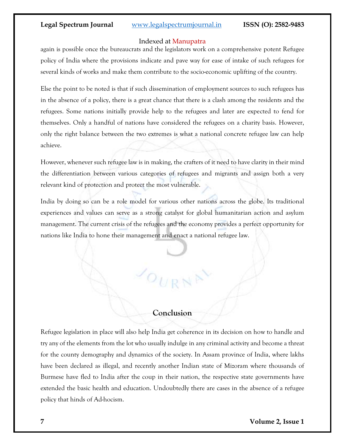### Indexed at Manupatra

again is possible once the bureaucrats and the legislators work on a comprehensive potent Refugee policy of India where the provisions indicate and pave way for ease of intake of such refugees for several kinds of works and make them contribute to the socio-economic uplifting of the country.

Else the point to be noted is that if such dissemination of employment sources to such refugees has in the absence of a policy, there is a great chance that there is a clash among the residents and the refugees. Some nations initially provide help to the refugees and later are expected to fend for themselves. Only a handful of nations have considered the refugees on a charity basis. However, only the right balance between the two extremes is what a national concrete refugee law can help achieve.

However, whenever such refugee law is in making, the crafters of it need to have clarity in their mind the differentiation between various categories of refugees and migrants and assign both a very relevant kind of protection and protect the most vulnerable.

India by doing so can be a role model for various other nations across the globe. Its traditional experiences and values can serve as a strong catalyst for global humanitarian action and asylum management. The current crisis of the refugees and the economy provides a perfect opportunity for nations like India to hone their management and enact a national refugee law.

## **Conclusion**

 $\overline{\phantom{a}}$ OUR

Refugee legislation in place will also help India get coherence in its decision on how to handle and try any of the elements from the lot who usually indulge in any criminal activity and become a threat for the county demography and dynamics of the society. In Assam province of India, where lakhs have been declared as illegal, and recently another Indian state of Mizoram where thousands of Burmese have fled to India after the coup in their nation, the respective state governments have extended the basic health and education. Undoubtedly there are cases in the absence of a refugee policy that hinds of Ad-hocism.